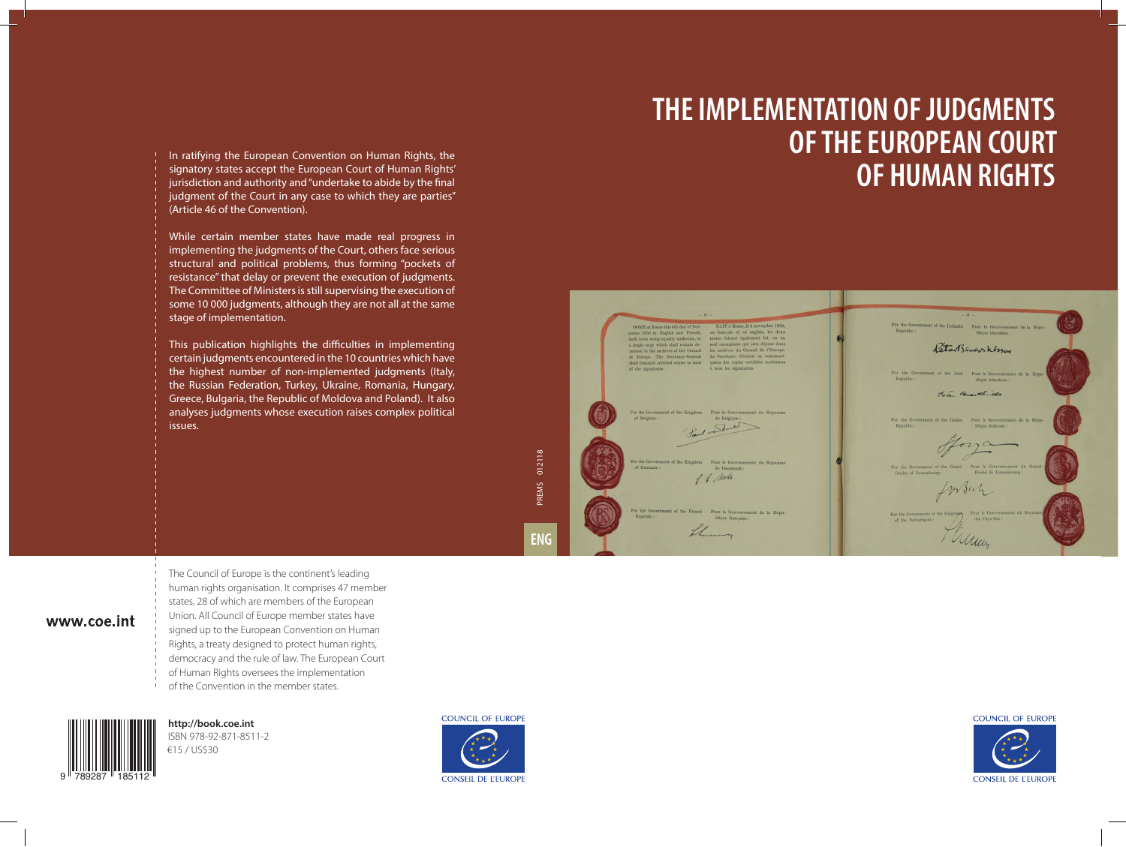## **THE IMPLEMENTATION OF JUDGMENTS OF THE EUROPEAN COURT OF HUMAN RIGHTS**



#### **COUNCIL OF EUROPE**

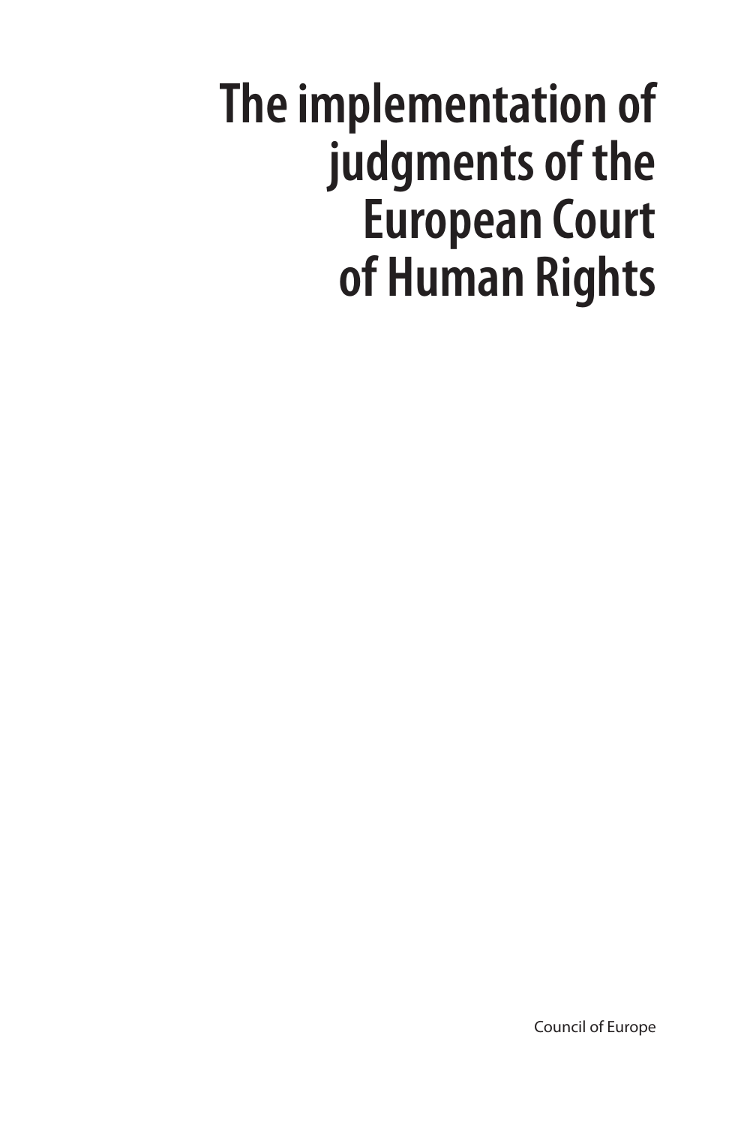# **The implementation of judgments of the European Court of Human Rights**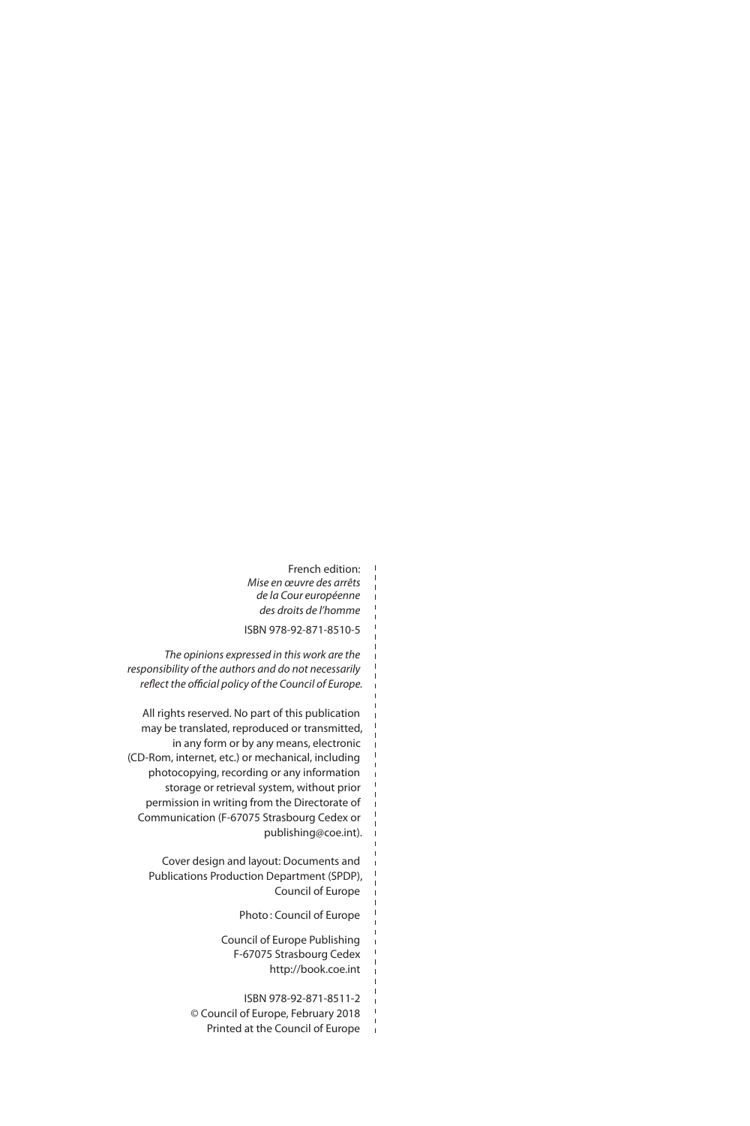French edition: *Mise en œuvre des arrêts de la Cour européenne des droits de l'homme* ISBN 978-92-871-8510-5  $\overline{1}$ 

*The opinions expressed in this work are the responsibility of the authors and do not necessarily reflect the official policy of the Council of Europe.*

All rights reserved. No part of this publication may be translated, reproduced or transmitted, in any form or by any means, electronic (CD-Rom, internet, etc.) or mechanical, including photocopying, recording or any information storage or retrieval system, without prior permission in writing from the Directorate of Communication (F-67075 Strasbourg Cedex or publishing@coe.int).

Cover design and layout: Documents and Publications Production Department (SPDP), Council of Europe

Photo: Council of Europe

Council of Europe Publishing F-67075 Strasbourg Cedex http://book.coe.int

ISBN 978-92-871-8511-2 © Council of Europe, February 2018 Printed at the Council of Europe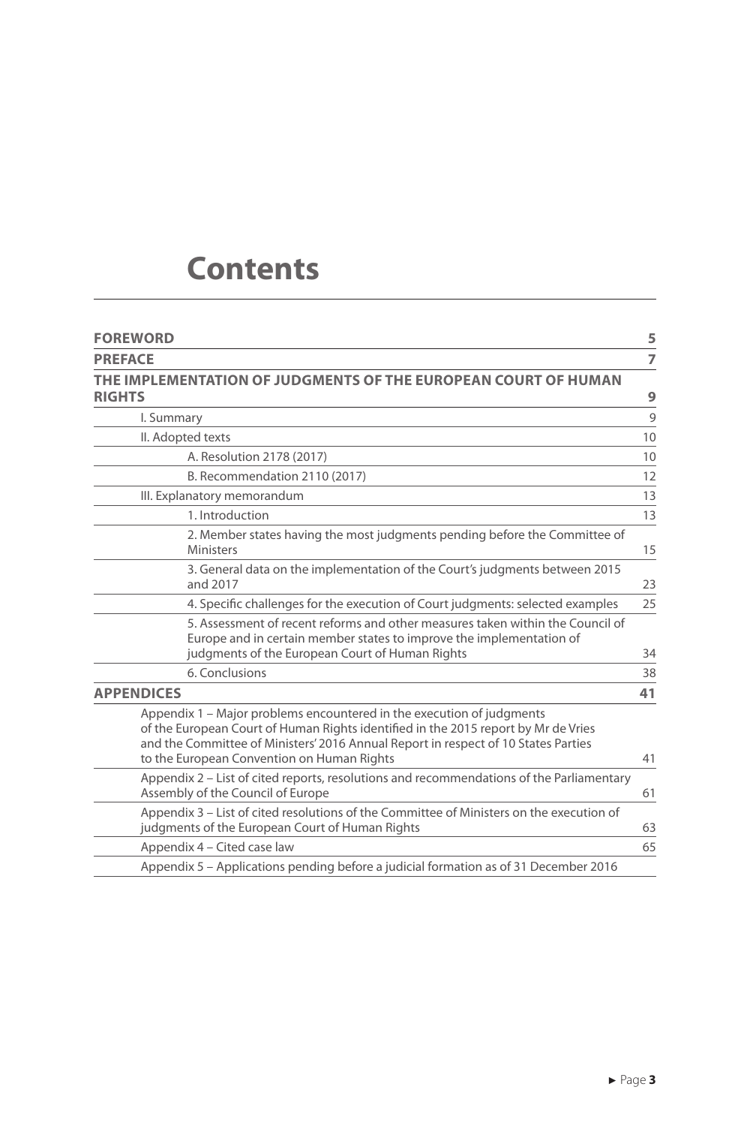### **Contents**

| <b>FOREWORD</b>                                                                                                                                                                                                                                                                                 | 5  |
|-------------------------------------------------------------------------------------------------------------------------------------------------------------------------------------------------------------------------------------------------------------------------------------------------|----|
| <b>PREFACE</b>                                                                                                                                                                                                                                                                                  | 7  |
| THE IMPLEMENTATION OF JUDGMENTS OF THE EUROPEAN COURT OF HUMAN<br><b>RIGHTS</b>                                                                                                                                                                                                                 | 9  |
| I. Summary                                                                                                                                                                                                                                                                                      | 9  |
| II. Adopted texts                                                                                                                                                                                                                                                                               | 10 |
| A. Resolution 2178 (2017)                                                                                                                                                                                                                                                                       | 10 |
| B. Recommendation 2110 (2017)                                                                                                                                                                                                                                                                   | 12 |
| III. Explanatory memorandum                                                                                                                                                                                                                                                                     | 13 |
| 1. Introduction                                                                                                                                                                                                                                                                                 | 13 |
| 2. Member states having the most judgments pending before the Committee of<br><b>Ministers</b>                                                                                                                                                                                                  | 15 |
| 3. General data on the implementation of the Court's judgments between 2015<br>and 2017                                                                                                                                                                                                         | 23 |
| 4. Specific challenges for the execution of Court judgments: selected examples                                                                                                                                                                                                                  | 25 |
| 5. Assessment of recent reforms and other measures taken within the Council of<br>Europe and in certain member states to improve the implementation of<br>judgments of the European Court of Human Rights                                                                                       | 34 |
| 6. Conclusions                                                                                                                                                                                                                                                                                  | 38 |
| <b>APPENDICES</b>                                                                                                                                                                                                                                                                               | 41 |
| Appendix 1 – Major problems encountered in the execution of judgments<br>of the European Court of Human Rights identified in the 2015 report by Mr de Vries<br>and the Committee of Ministers' 2016 Annual Report in respect of 10 States Parties<br>to the European Convention on Human Rights | 41 |
| Appendix 2 – List of cited reports, resolutions and recommendations of the Parliamentary<br>Assembly of the Council of Europe                                                                                                                                                                   | 61 |
| Appendix 3 - List of cited resolutions of the Committee of Ministers on the execution of<br>judgments of the European Court of Human Rights                                                                                                                                                     | 63 |
| Appendix 4 – Cited case law                                                                                                                                                                                                                                                                     | 65 |
| Appendix 5 - Applications pending before a judicial formation as of 31 December 2016                                                                                                                                                                                                            |    |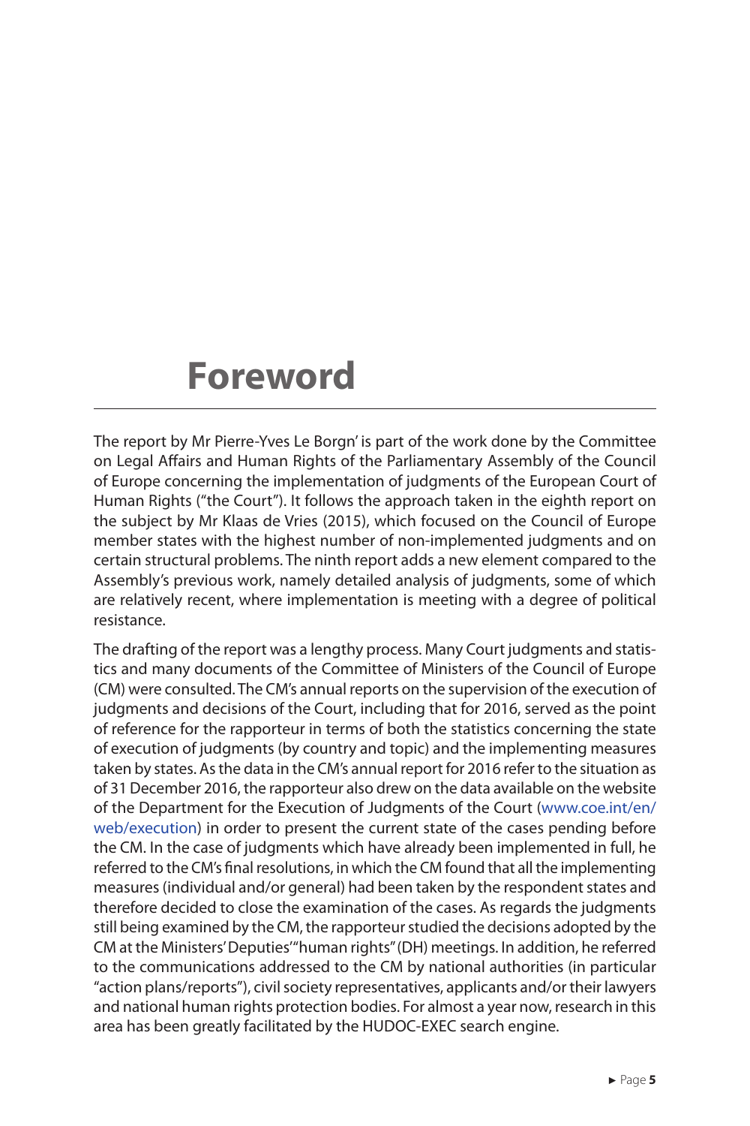### **Foreword**

The report by Mr Pierre-Yves Le Borgn' is part of the work done by the Committee on Legal Affairs and Human Rights of the Parliamentary Assembly of the Council of Europe concerning the implementation of judgments of the European Court of Human Rights ("the Court"). It follows the approach taken in the eighth report on the subject by Mr Klaas de Vries (2015), which focused on the Council of Europe member states with the highest number of non-implemented judgments and on certain structural problems. The ninth report adds a new element compared to the Assembly's previous work, namely detailed analysis of judgments, some of which are relatively recent, where implementation is meeting with a degree of political resistance.

The drafting of the report was a lengthy process. Many Court judgments and statistics and many documents of the Committee of Ministers of the Council of Europe (CM) were consulted. The CM's annual reports on the supervision of the execution of judgments and decisions of the Court, including that for 2016, served as the point of reference for the rapporteur in terms of both the statistics concerning the state of execution of judgments (by country and topic) and the implementing measures taken by states. As the data in the CM's annual report for 2016 refer to the situation as of 31 December 2016, the rapporteur also drew on the data available on the website of the Department for the Execution of Judgments of the Court (www.coe.int/en/ web/execution) in order to present the current state of the cases pending before the CM. In the case of judgments which have already been implemented in full, he referred to the CM's final resolutions, in which the CM found that all the implementing measures (individual and/or general) had been taken by the respondent states and therefore decided to close the examination of the cases. As regards the judgments still being examined by the CM, the rapporteur studied the decisions adopted by the CM at the Ministers' Deputies' "human rights" (DH) meetings. In addition, he referred to the communications addressed to the CM by national authorities (in particular "action plans/reports"), civil society representatives, applicants and/or their lawyers and national human rights protection bodies. For almost a year now, research in this area has been greatly facilitated by the HUDOC-EXEC search engine.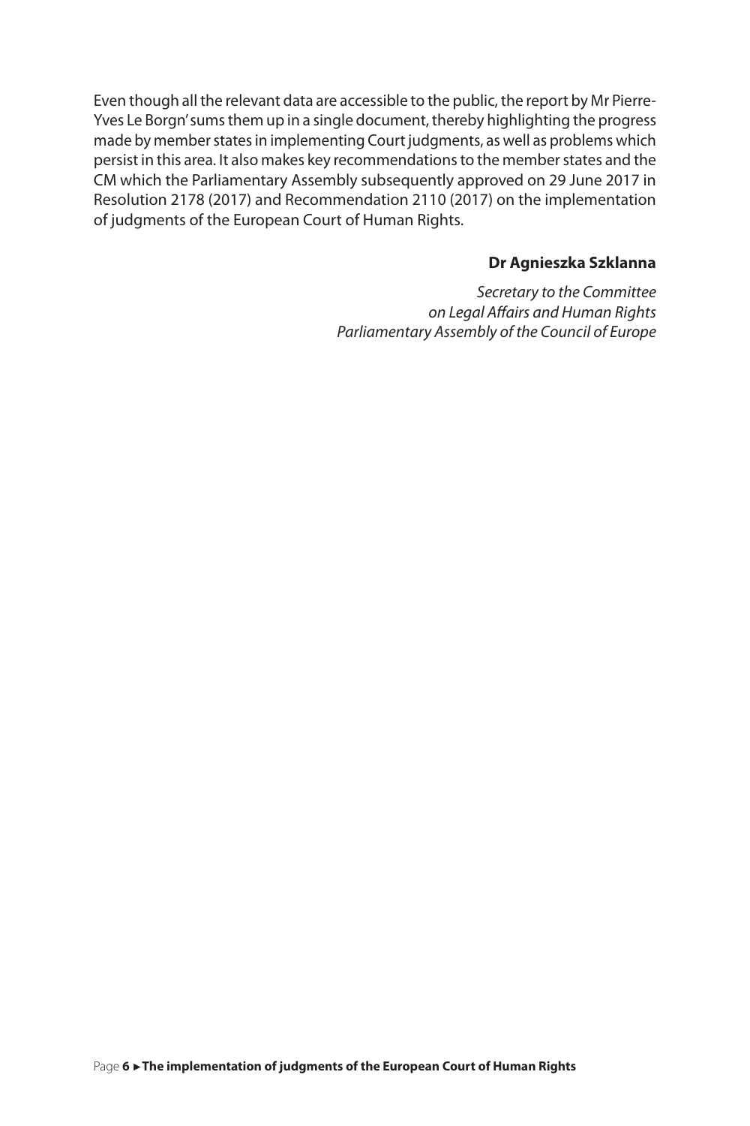Even though all the relevant data are accessible to the public, the report by Mr Pierre-Yves Le Borgn' sums them up in a single document, thereby highlighting the progress made by member states in implementing Court judgments, as well as problems which persist in this area. It also makes key recommendations to the member states and the CM which the Parliamentary Assembly subsequently approved on 29 June 2017 in Resolution 2178 (2017) and Recommendation 2110 (2017) on the implementation of judgments of the European Court of Human Rights.

#### **Dr Agnieszka Szklanna**

*Secretary to the Committee on Legal Affairs and Human Rights Parliamentary Assembly of the Council of Europe*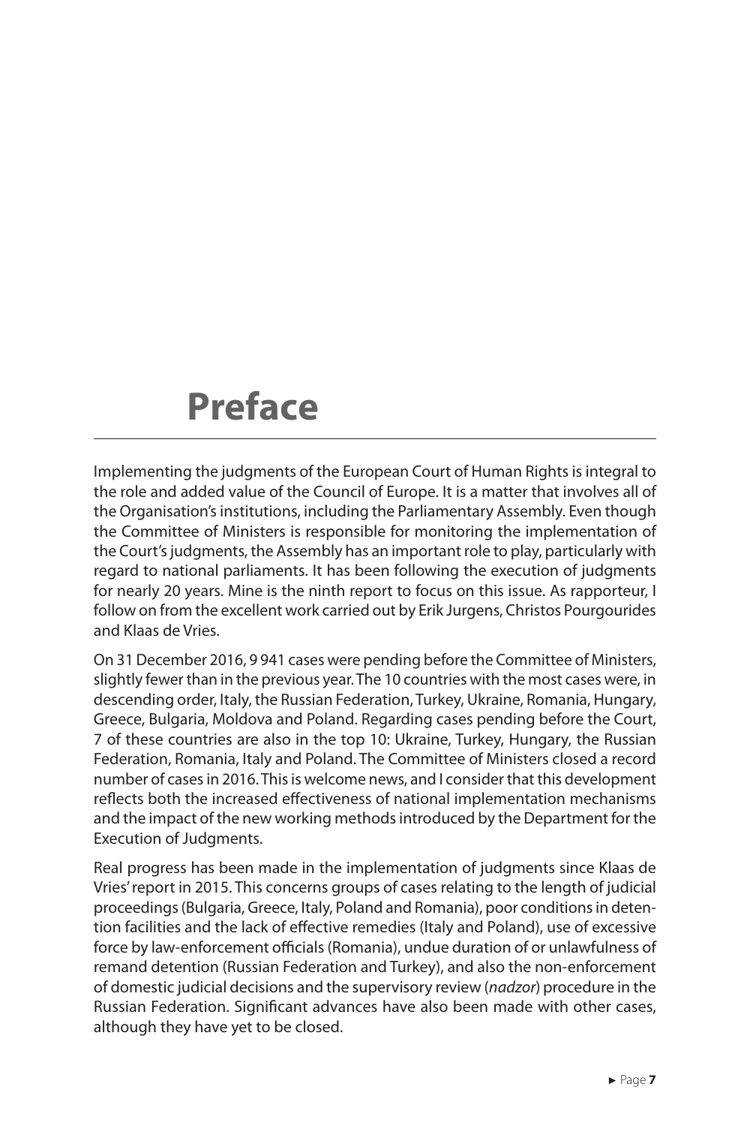### **Preface**

Implementing the judgments of the European Court of Human Rights is integral to the role and added value of the Council of Europe. It is a matter that involves all of the Organisation's institutions, including the Parliamentary Assembly. Even though the Committee of Ministers is responsible for monitoring the implementation of the Court's judgments, the Assembly has an important role to play, particularly with regard to national parliaments. It has been following the execution of judgments for nearly 20 years. Mine is the ninth report to focus on this issue. As rapporteur, I follow on from the excellent work carried out by Erik Jurgens, Christos Pourgourides and Klaas de Vries.

On 31 December 2016, 9 941 cases were pending before the Committee of Ministers, slightly fewer than in the previous year. The 10 countries with the most cases were, in descending order, Italy, the Russian Federation, Turkey, Ukraine, Romania, Hungary, Greece, Bulgaria, Moldova and Poland. Regarding cases pending before the Court, 7 of these countries are also in the top 10: Ukraine, Turkey, Hungary, the Russian Federation, Romania, Italy and Poland. The Committee of Ministers closed a record number of cases in 2016. This is welcome news, and I consider that this development reflects both the increased effectiveness of national implementation mechanisms and the impact of the new working methods introduced by the Department for the Execution of Judgments.

Real progress has been made in the implementation of judgments since Klaas de Vries' report in 2015. This concerns groups of cases relating to the length of judicial proceedings (Bulgaria, Greece, Italy, Poland and Romania), poor conditions in detention facilities and the lack of effective remedies (Italy and Poland), use of excessive force by law-enforcement officials (Romania), undue duration of or unlawfulness of remand detention (Russian Federation and Turkey), and also the non-enforcement of domestic judicial decisions and the supervisory review (*nadzor*) procedure in the Russian Federation. Significant advances have also been made with other cases, although they have yet to be closed.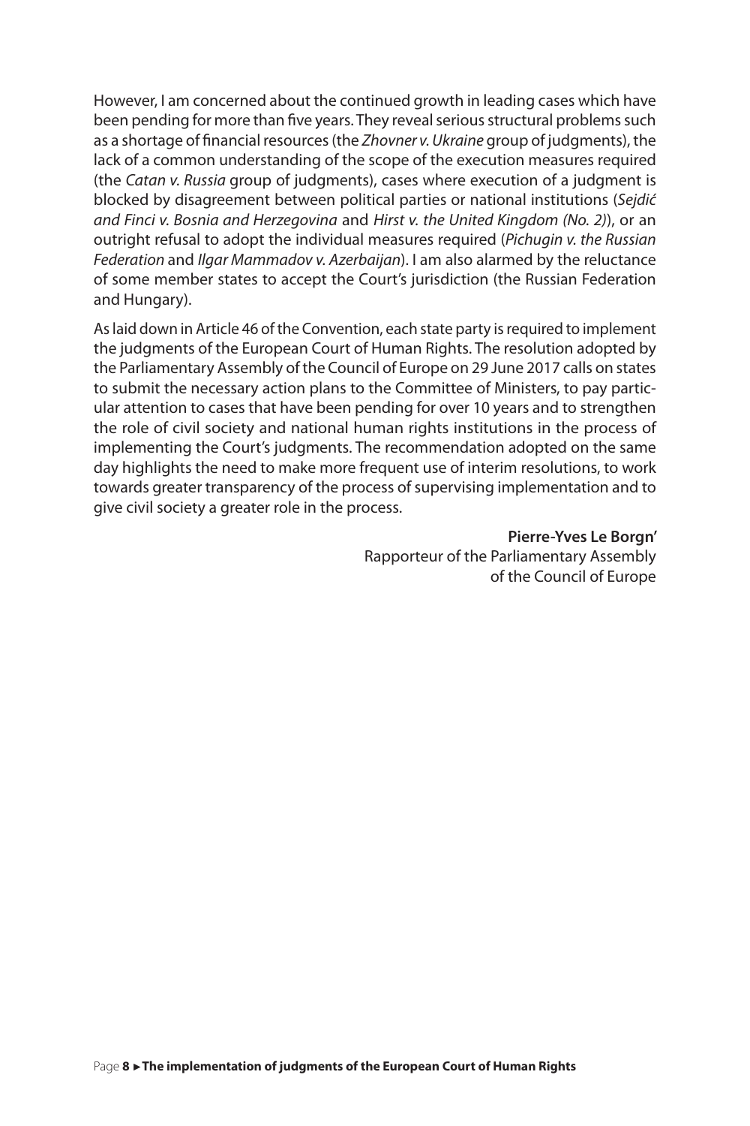However, I am concerned about the continued growth in leading cases which have been pending for more than five years. They reveal serious structural problems such as a shortage of financial resources (the *Zhovner v. Ukraine* group of judgments), the lack of a common understanding of the scope of the execution measures required (the *Catan v. Russia* group of judgments), cases where execution of a judgment is blocked by disagreement between political parties or national institutions (*Sejdić and Finci v. Bosnia and Herzegovina* and *Hirst v. the United Kingdom (No. 2)*), or an outright refusal to adopt the individual measures required (*Pichugin v. the Russian Federation* and *Ilgar Mammadov v. Azerbaijan*). I am also alarmed by the reluctance of some member states to accept the Court's jurisdiction (the Russian Federation and Hungary).

As laid down in Article 46 of the Convention, each state party is required to implement the judgments of the European Court of Human Rights. The resolution adopted by the Parliamentary Assembly of the Council of Europe on 29 June 2017 calls on states to submit the necessary action plans to the Committee of Ministers, to pay particular attention to cases that have been pending for over 10 years and to strengthen the role of civil society and national human rights institutions in the process of implementing the Court's judgments. The recommendation adopted on the same day highlights the need to make more frequent use of interim resolutions, to work towards greater transparency of the process of supervising implementation and to give civil society a greater role in the process.

> **Pierre-Yves Le Borgn'** Rapporteur of the Parliamentary Assembly of the Council of Europe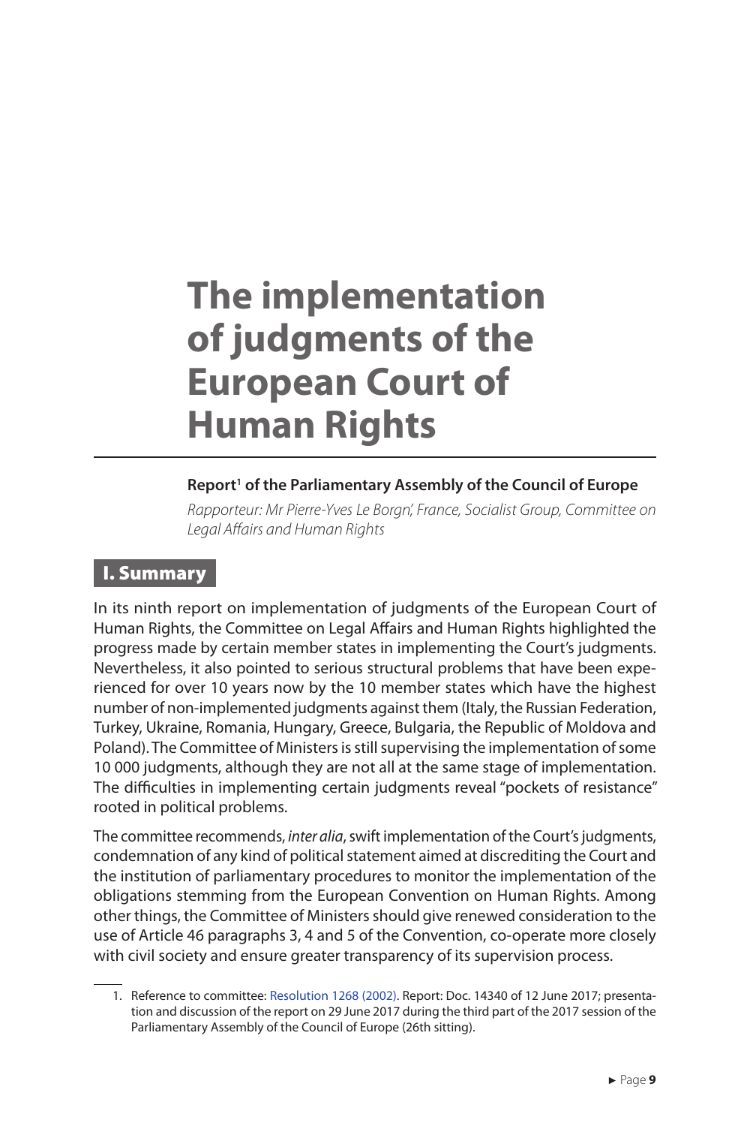### **The implementation of judgments of the European Court of Human Rights**

#### Report<sup>1</sup> of the Parliamentary Assembly of the Council of Europe

*Rapporteur: Mr Pierre-Yves Le Borgn', France, Socialist Group, Committee on Legal Affairs and Human Rights*

#### I. Summary

In its ninth report on implementation of judgments of the European Court of Human Rights, the Committee on Legal Affairs and Human Rights highlighted the progress made by certain member states in implementing the Court's judgments. Nevertheless, it also pointed to serious structural problems that have been experienced for over 10 years now by the 10 member states which have the highest number of non-implemented judgments against them (Italy, the Russian Federation, Turkey, Ukraine, Romania, Hungary, Greece, Bulgaria, the Republic of Moldova and Poland). The Committee of Ministers is still supervising the implementation of some 10 000 judgments, although they are not all at the same stage of implementation. The difficulties in implementing certain judgments reveal "pockets of resistance" rooted in political problems.

The committee recommends, *inter alia*, swift implementation of the Court's judgments, condemnation of any kind of political statement aimed at discrediting the Court and the institution of parliamentary procedures to monitor the implementation of the obligations stemming from the European Convention on Human Rights. Among other things, the Committee of Ministers should give renewed consideration to the use of Article 46 paragraphs 3, 4 and 5 of the Convention, co-operate more closely with civil society and ensure greater transparency of its supervision process.

<sup>1.</sup> Reference to committee: Resolution 1268 (2002). Report: Doc. 14340 of 12 June 2017; presentation and discussion of the report on 29 June 2017 during the third part of the 2017 session of the Parliamentary Assembly of the Council of Europe (26th sitting).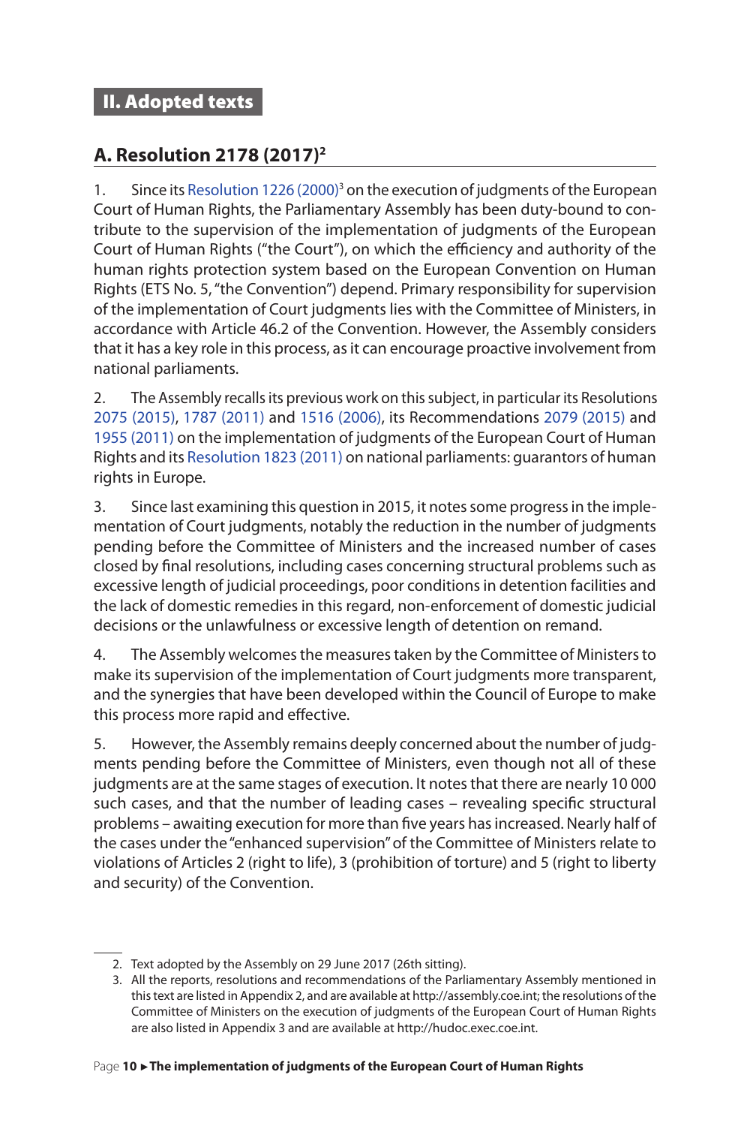#### **A. Resolution 2178 (2017)2**

1. Since its Resolution 1226 (2000)<sup>3</sup> on the execution of judgments of the European Court of Human Rights, the Parliamentary Assembly has been duty-bound to contribute to the supervision of the implementation of judgments of the European Court of Human Rights ("the Court"), on which the efficiency and authority of the human rights protection system based on the European Convention on Human Rights (ETS No. 5, "the Convention") depend. Primary responsibility for supervision of the implementation of Court judgments lies with the Committee of Ministers, in accordance with Article 46.2 of the Convention. However, the Assembly considers that it has a key role in this process, as it can encourage proactive involvement from national parliaments.

2. The Assembly recalls its previous work on this subject, in particular its Resolutions 2075 (2015), 1787 (2011) and 1516 (2006), its Recommendations 2079 (2015) and 1955 (2011) on the implementation of judgments of the European Court of Human Rights and its Resolution 1823 (2011) on national parliaments: guarantors of human rights in Europe.

3. Since last examining this question in 2015, it notes some progress in the implementation of Court judgments, notably the reduction in the number of judgments pending before the Committee of Ministers and the increased number of cases closed by final resolutions, including cases concerning structural problems such as excessive length of judicial proceedings, poor conditions in detention facilities and the lack of domestic remedies in this regard, non-enforcement of domestic judicial decisions or the unlawfulness or excessive length of detention on remand.

4. The Assembly welcomes the measures taken by the Committee of Ministers to make its supervision of the implementation of Court judgments more transparent, and the synergies that have been developed within the Council of Europe to make this process more rapid and effective.

5. However, the Assembly remains deeply concerned about the number of judgments pending before the Committee of Ministers, even though not all of these judgments are at the same stages of execution. It notes that there are nearly 10 000 such cases, and that the number of leading cases – revealing specific structural problems – awaiting execution for more than five years has increased. Nearly half of the cases under the "enhanced supervision" of the Committee of Ministers relate to violations of Articles 2 (right to life), 3 (prohibition of torture) and 5 (right to liberty and security) of the Convention.

<sup>2.</sup> Text adopted by the Assembly on 29 June 2017 (26th sitting).

<sup>3.</sup> All the reports, resolutions and recommendations of the Parliamentary Assembly mentioned in this text are listed in Appendix 2, and are available at http://assembly.coe.int; the resolutions of the Committee of Ministers on the execution of judgments of the European Court of Human Rights are also listed in Appendix 3 and are available at http://hudoc.exec.coe.int.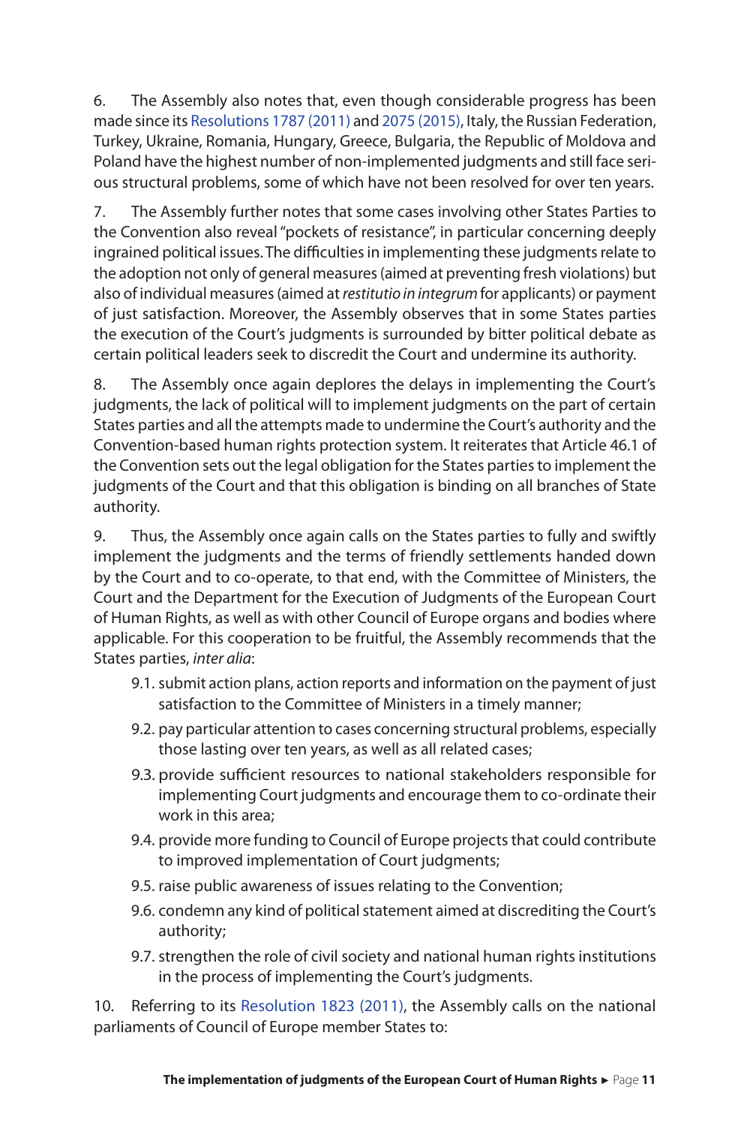6. The Assembly also notes that, even though considerable progress has been made since its Resolutions 1787 (2011) and 2075 (2015), Italy, the Russian Federation, Turkey, Ukraine, Romania, Hungary, Greece, Bulgaria, the Republic of Moldova and Poland have the highest number of non-implemented judgments and still face serious structural problems, some of which have not been resolved for over ten years.

7. The Assembly further notes that some cases involving other States Parties to the Convention also reveal "pockets of resistance", in particular concerning deeply ingrained political issues. The difficulties in implementing these judgments relate to the adoption not only of general measures (aimed at preventing fresh violations) but also of individual measures (aimed at *restitutio in integrum* for applicants) or payment of just satisfaction. Moreover, the Assembly observes that in some States parties the execution of the Court's judgments is surrounded by bitter political debate as certain political leaders seek to discredit the Court and undermine its authority.

8. The Assembly once again deplores the delays in implementing the Court's judgments, the lack of political will to implement judgments on the part of certain States parties and all the attempts made to undermine the Court's authority and the Convention-based human rights protection system. It reiterates that Article 46.1 of the Convention sets out the legal obligation for the States parties to implement the judgments of the Court and that this obligation is binding on all branches of State authority.

9. Thus, the Assembly once again calls on the States parties to fully and swiftly implement the judgments and the terms of friendly settlements handed down by the Court and to co-operate, to that end, with the Committee of Ministers, the Court and the Department for the Execution of Judgments of the European Court of Human Rights, as well as with other Council of Europe organs and bodies where applicable. For this cooperation to be fruitful, the Assembly recommends that the States parties, *inter alia*:

- 9.1. submit action plans, action reports and information on the payment of just satisfaction to the Committee of Ministers in a timely manner;
- 9.2. pay particular attention to cases concerning structural problems, especially those lasting over ten years, as well as all related cases;
- 9.3. provide sufficient resources to national stakeholders responsible for implementing Court judgments and encourage them to co-ordinate their work in this area;
- 9.4. provide more funding to Council of Europe projects that could contribute to improved implementation of Court judgments;
- 9.5. raise public awareness of issues relating to the Convention;
- 9.6. condemn any kind of political statement aimed at discrediting the Court's authority;
- 9.7. strengthen the role of civil society and national human rights institutions in the process of implementing the Court's judgments.

10. Referring to its Resolution 1823 (2011), the Assembly calls on the national parliaments of Council of Europe member States to: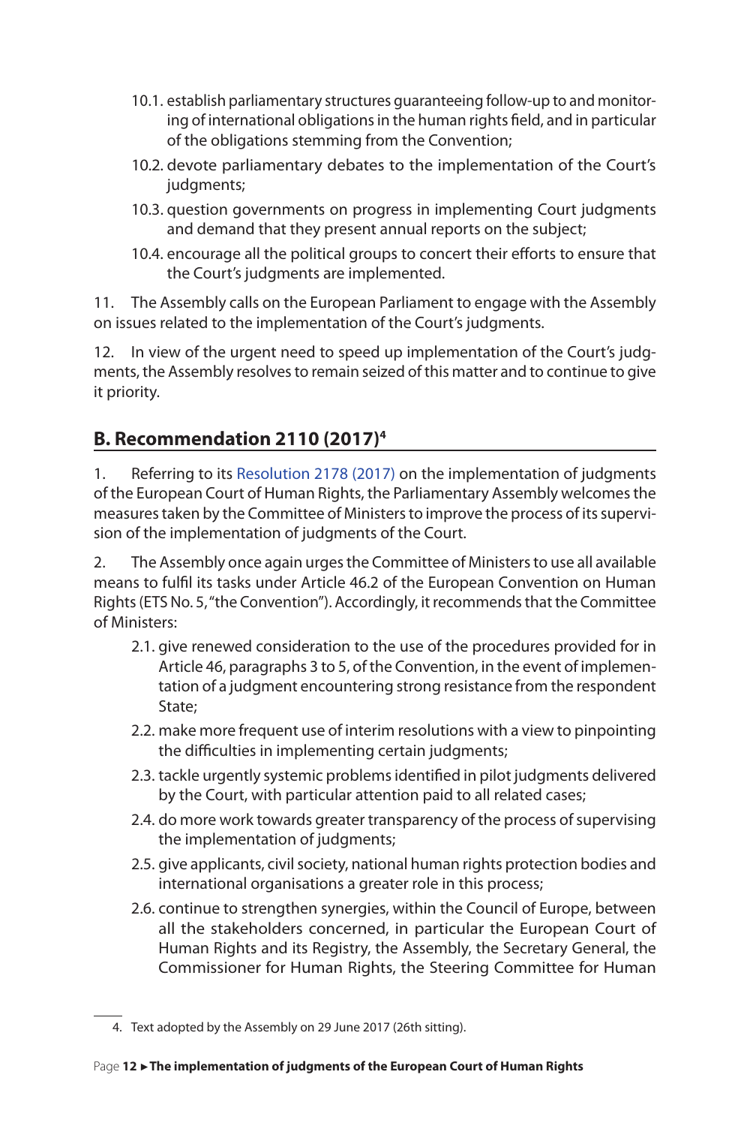- 10.1. establish parliamentary structures guaranteeing follow-up to and monitoring of international obligations in the human rights field, and in particular of the obligations stemming from the Convention;
- 10.2. devote parliamentary debates to the implementation of the Court's judgments;
- 10.3. question governments on progress in implementing Court judgments and demand that they present annual reports on the subject;
- 10.4. encourage all the political groups to concert their efforts to ensure that the Court's judgments are implemented.

11. The Assembly calls on the European Parliament to engage with the Assembly on issues related to the implementation of the Court's judgments.

12. In view of the urgent need to speed up implementation of the Court's judgments, the Assembly resolves to remain seized of this matter and to continue to give it priority.

#### **B. Recommendation 2110 (2017)4**

1. Referring to its Resolution 2178 (2017) on the implementation of judgments of the European Court of Human Rights, the Parliamentary Assembly welcomes the measures taken by the Committee of Ministers to improve the process of its supervision of the implementation of judgments of the Court.

2. The Assembly once again urges the Committee of Ministers to use all available means to fulfil its tasks under Article 46.2 of the European Convention on Human Rights (ETS No. 5, "the Convention"). Accordingly, it recommends that the Committee of Ministers:

- 2.1. give renewed consideration to the use of the procedures provided for in Article 46, paragraphs 3 to 5, of the Convention, in the event of implementation of a judgment encountering strong resistance from the respondent State;
- 2.2. make more frequent use of interim resolutions with a view to pinpointing the difficulties in implementing certain judgments;
- 2.3. tackle urgently systemic problems identified in pilot judgments delivered by the Court, with particular attention paid to all related cases;
- 2.4. do more work towards greater transparency of the process of supervising the implementation of judgments;
- 2.5. give applicants, civil society, national human rights protection bodies and international organisations a greater role in this process;
- 2.6. continue to strengthen synergies, within the Council of Europe, between all the stakeholders concerned, in particular the European Court of Human Rights and its Registry, the Assembly, the Secretary General, the Commissioner for Human Rights, the Steering Committee for Human

<sup>4.</sup> Text adopted by the Assembly on 29 June 2017 (26th sitting).